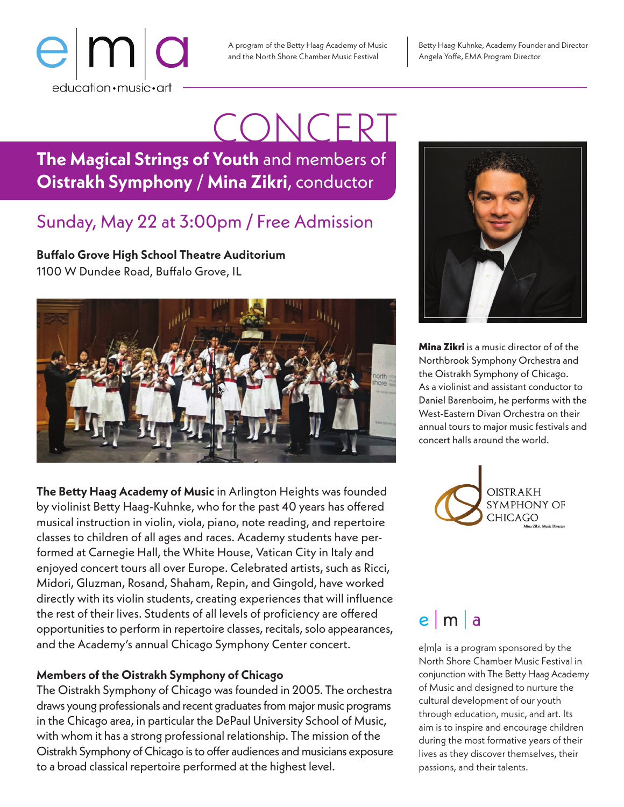

A program of the Betty Haag Academy of Music and the North Shore Chamber Music Festival

Betty Haag-Kuhnke, Academy Founder and Director Angela Yoffe, EMA Program Director

## **The Magical Strings of Youth** and members of **Oistrakh Symphony** / **Mina Zikri**, conductor CONCERT

### Sunday, May 22 at 3:00pm / Free Admission

**Buffalo Grove High School Theatre Auditorium** 1100 W Dundee Road, Buffalo Grove, IL



**The Betty Haag Academy of Music** in Arlington Heights was founded by violinist Betty Haag-Kuhnke, who for the past 40 years has offered musical instruction in violin, viola, piano, note reading, and repertoire classes to children of all ages and races. Academy students have performed at Carnegie Hall, the White House, Vatican City in Italy and enjoyed concert tours all over Europe. Celebrated artists, such as Ricci, Midori, Gluzman, Rosand, Shaham, Repin, and Gingold, have worked directly with its violin students, creating experiences that will influence the rest of their lives. Students of all levels of proficiency are offered opportunities to perform in repertoire classes, recitals, solo appearances, and the Academy's annual Chicago Symphony Center concert.

### **Members of the Oistrakh Symphony of Chicago**

The Oistrakh Symphony of Chicago was founded in 2005. The orchestra draws young professionals and recent graduates from major music programs in the Chicago area, in particular the DePaul University School of Music, with whom it has a strong professional relationship. The mission of the Oistrakh Symphony of Chicago is to offer audiences and musicians exposure to a broad classical repertoire performed at the highest level.



**Mina Zikri** is a music director of of the Northbrook Symphony Orchestra and the Oistrakh Symphony of Chicago. As a violinist and assistant conductor to Daniel Barenboim, he performs with the West-Eastern Divan Orchestra on their annual tours to major music festivals and concert halls around the world.



## e | m | a

e|m|a is a program sponsored by the North Shore Chamber Music Festival in conjunction with The Betty Haag Academy of Music and designed to nurture the cultural development of our youth through education, music, and art. Its aim is to inspire and encourage children during the most formative years of their lives as they discover themselves, their passions, and their talents.